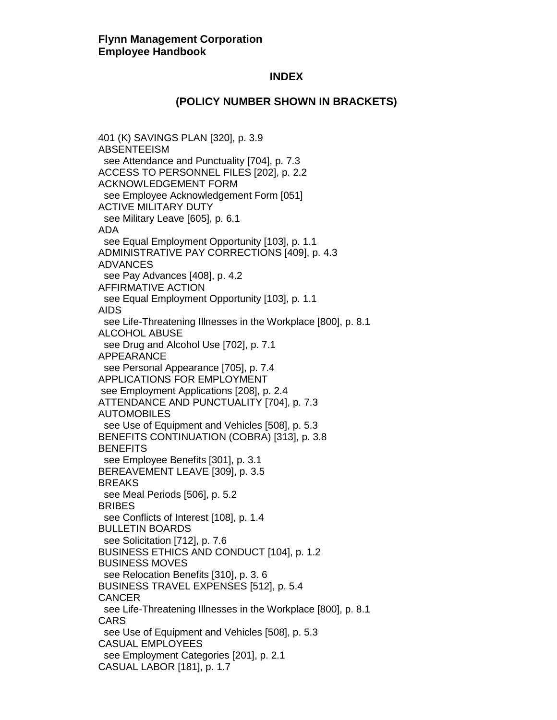#### **(POLICY NUMBER SHOWN IN BRACKETS)**

401 (K) SAVINGS PLAN [320], p. 3.9 ABSENTEEISM see Attendance and Punctuality [704], p. 7.3 ACCESS TO PERSONNEL FILES [202], p. 2.2 ACKNOWLEDGEMENT FORM see Employee Acknowledgement Form [051] ACTIVE MILITARY DUTY see Military Leave [605], p. 6.1 ADA see Equal Employment Opportunity [103], p. 1.1 ADMINISTRATIVE PAY CORRECTIONS [409], p. 4.3 ADVANCES see Pay Advances [408], p. 4.2 AFFIRMATIVE ACTION see Equal Employment Opportunity [103], p. 1.1 AIDS see Life-Threatening Illnesses in the Workplace [800], p. 8.1 ALCOHOL ABUSE see Drug and Alcohol Use [702], p. 7.1 APPEARANCE see Personal Appearance [705], p. 7.4 APPLICATIONS FOR EMPLOYMENT see Employment Applications [208], p. 2.4 ATTENDANCE AND PUNCTUALITY [704], p. 7.3 AUTOMOBILES see Use of Equipment and Vehicles [508], p. 5.3 BENEFITS CONTINUATION (COBRA) [313], p. 3.8 **BENEFITS**  see Employee Benefits [301], p. 3.1 BEREAVEMENT LEAVE [309], p. 3.5 BREAKS see Meal Periods [506], p. 5.2 BRIBES see Conflicts of Interest [108], p. 1.4 BULLETIN BOARDS see Solicitation [712], p. 7.6 BUSINESS ETHICS AND CONDUCT [104], p. 1.2 BUSINESS MOVES see Relocation Benefits [310], p. 3. 6 BUSINESS TRAVEL EXPENSES [512], p. 5.4 CANCER see Life-Threatening Illnesses in the Workplace [800], p. 8.1 CARS see Use of Equipment and Vehicles [508], p. 5.3 CASUAL EMPLOYEES see Employment Categories [201], p. 2.1 CASUAL LABOR [181], p. 1.7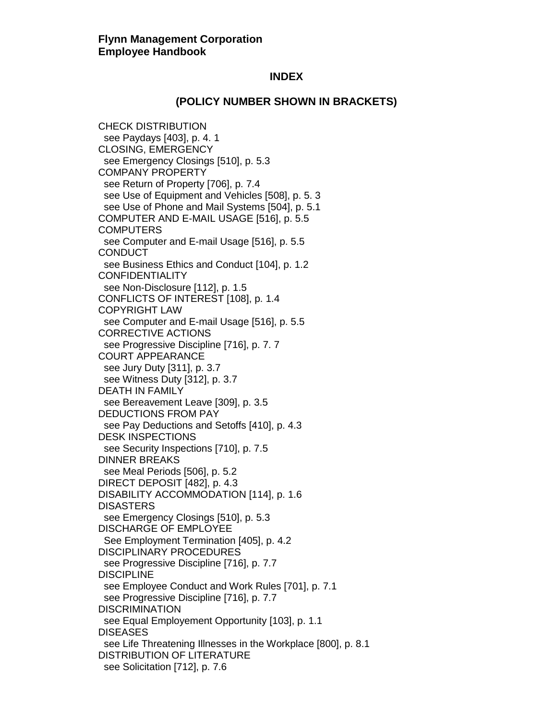# **(POLICY NUMBER SHOWN IN BRACKETS)**

CHECK DISTRIBUTION see Paydays [403], p. 4. 1 CLOSING, EMERGENCY see Emergency Closings [510], p. 5.3 COMPANY PROPERTY see Return of Property [706], p. 7.4 see Use of Equipment and Vehicles [508], p. 5. 3 see Use of Phone and Mail Systems [504], p. 5.1 COMPUTER AND E-MAIL USAGE [516], p. 5.5 **COMPUTERS**  see Computer and E-mail Usage [516], p. 5.5 **CONDUCT**  see Business Ethics and Conduct [104], p. 1.2 **CONFIDENTIALITY**  see Non-Disclosure [112], p. 1.5 CONFLICTS OF INTEREST [108], p. 1.4 COPYRIGHT LAW see Computer and E-mail Usage [516], p. 5.5 CORRECTIVE ACTIONS see Progressive Discipline [716], p. 7. 7 COURT APPEARANCE see Jury Duty [311], p. 3.7 see Witness Duty [312], p. 3.7 DEATH IN FAMILY see Bereavement Leave [309], p. 3.5 DEDUCTIONS FROM PAY see Pay Deductions and Setoffs [410], p. 4.3 DESK INSPECTIONS see Security Inspections [710], p. 7.5 DINNER BREAKS see Meal Periods [506], p. 5.2 DIRECT DEPOSIT [482], p. 4.3 DISABILITY ACCOMMODATION [114], p. 1.6 **DISASTERS**  see Emergency Closings [510], p. 5.3 DISCHARGE OF EMPLOYEE See Employment Termination [405], p. 4.2 DISCIPLINARY PROCEDURES see Progressive Discipline [716], p. 7.7 **DISCIPLINE**  see Employee Conduct and Work Rules [701], p. 7.1 see Progressive Discipline [716], p. 7.7 DISCRIMINATION see Equal Employement Opportunity [103], p. 1.1 **DISEASES**  see Life Threatening Illnesses in the Workplace [800], p. 8.1 DISTRIBUTION OF LITERATURE see Solicitation [712], p. 7.6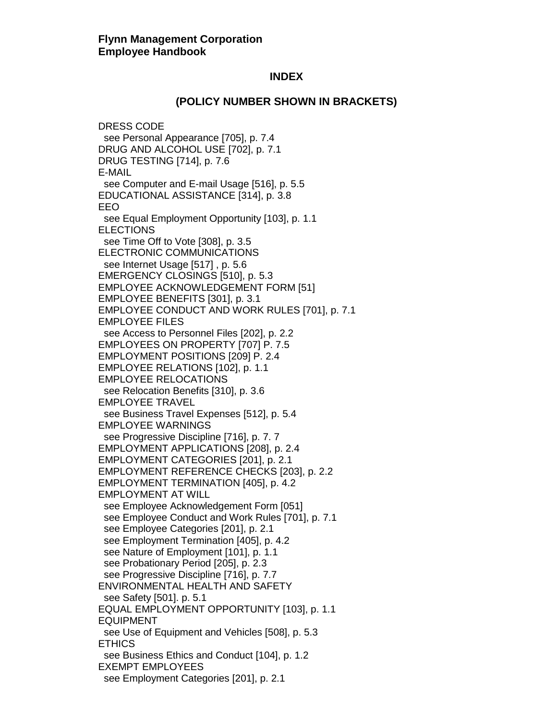# **(POLICY NUMBER SHOWN IN BRACKETS)**

DRESS CODE see Personal Appearance [705], p. 7.4 DRUG AND ALCOHOL USE [702], p. 7.1 DRUG TESTING [714], p. 7.6 E-MAIL see Computer and E-mail Usage [516], p. 5.5 EDUCATIONAL ASSISTANCE [314], p. 3.8 EEO see Equal Employment Opportunity [103], p. 1.1 ELECTIONS see Time Off to Vote [308], p. 3.5 ELECTRONIC COMMUNICATIONS see Internet Usage [517] , p. 5.6 EMERGENCY CLOSINGS [510], p. 5.3 EMPLOYEE ACKNOWLEDGEMENT FORM [51] EMPLOYEE BENEFITS [301], p. 3.1 EMPLOYEE CONDUCT AND WORK RULES [701], p. 7.1 EMPLOYEE FILES see Access to Personnel Files [202], p. 2.2 EMPLOYEES ON PROPERTY [707] P. 7.5 EMPLOYMENT POSITIONS [209] P. 2.4 EMPLOYEE RELATIONS [102], p. 1.1 EMPLOYEE RELOCATIONS see Relocation Benefits [310], p. 3.6 EMPLOYEE TRAVEL see Business Travel Expenses [512], p. 5.4 EMPLOYEE WARNINGS see Progressive Discipline [716], p. 7. 7 EMPLOYMENT APPLICATIONS [208], p. 2.4 EMPLOYMENT CATEGORIES [201], p. 2.1 EMPLOYMENT REFERENCE CHECKS [203], p. 2.2 EMPLOYMENT TERMINATION [405], p. 4.2 EMPLOYMENT AT WILL see Employee Acknowledgement Form [051] see Employee Conduct and Work Rules [701], p. 7.1 see Employee Categories [201], p. 2.1 see Employment Termination [405], p. 4.2 see Nature of Employment [101], p. 1.1 see Probationary Period [205], p. 2.3 see Progressive Discipline [716], p. 7.7 ENVIRONMENTAL HEALTH AND SAFETY see Safety [501]. p. 5.1 EQUAL EMPLOYMENT OPPORTUNITY [103], p. 1.1 EQUIPMENT see Use of Equipment and Vehicles [508], p. 5.3 **ETHICS**  see Business Ethics and Conduct [104], p. 1.2 EXEMPT EMPLOYEES see Employment Categories [201], p. 2.1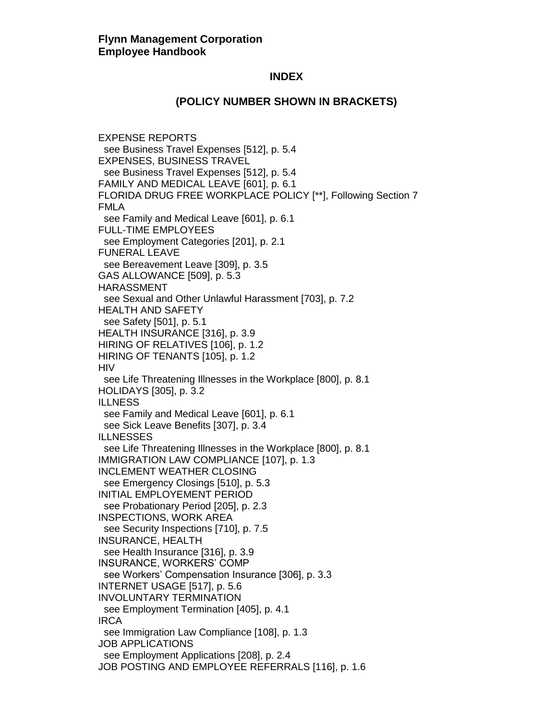#### **(POLICY NUMBER SHOWN IN BRACKETS)**

EXPENSE REPORTS see Business Travel Expenses [512], p. 5.4 EXPENSES, BUSINESS TRAVEL see Business Travel Expenses [512], p. 5.4 FAMILY AND MEDICAL LEAVE [601], p. 6.1 FLORIDA DRUG FREE WORKPLACE POLICY [\*\*], Following Section 7 FMLA see Family and Medical Leave [601], p. 6.1 FULL-TIME EMPLOYEES see Employment Categories [201], p. 2.1 FUNERAL LEAVE see Bereavement Leave [309], p. 3.5 GAS ALLOWANCE [509], p. 5.3 HARASSMENT see Sexual and Other Unlawful Harassment [703], p. 7.2 HEALTH AND SAFETY see Safety [501], p. 5.1 HEALTH INSURANCE [316], p. 3.9 HIRING OF RELATIVES [106], p. 1.2 HIRING OF TENANTS [105], p. 1.2 **HIV**  see Life Threatening Illnesses in the Workplace [800], p. 8.1 HOLIDAYS [305], p. 3.2 ILLNESS see Family and Medical Leave [601], p. 6.1 see Sick Leave Benefits [307], p. 3.4 ILLNESSES see Life Threatening Illnesses in the Workplace [800], p. 8.1 IMMIGRATION LAW COMPLIANCE [107], p. 1.3 INCLEMENT WEATHER CLOSING see Emergency Closings [510], p. 5.3 INITIAL EMPLOYEMENT PERIOD see Probationary Period [205], p. 2.3 INSPECTIONS, WORK AREA see Security Inspections [710], p. 7.5 INSURANCE, HEALTH see Health Insurance [316], p. 3.9 INSURANCE, WORKERS' COMP see Workers' Compensation Insurance [306], p. 3.3 INTERNET USAGE [517], p. 5.6 INVOLUNTARY TERMINATION see Employment Termination [405], p. 4.1 IRCA see Immigration Law Compliance [108], p. 1.3 JOB APPLICATIONS see Employment Applications [208], p. 2.4 JOB POSTING AND EMPLOYEE REFERRALS [116], p. 1.6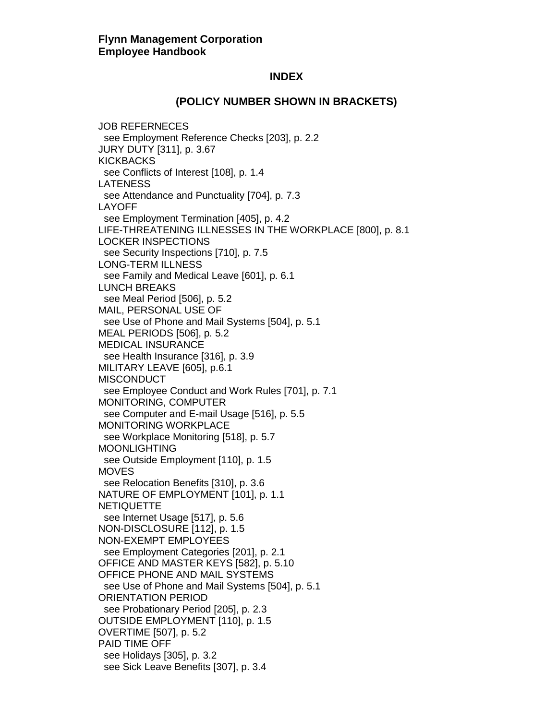#### **(POLICY NUMBER SHOWN IN BRACKETS)**

JOB REFERNECES see Employment Reference Checks [203], p. 2.2 JURY DUTY [311], p. 3.67 **KICKBACKS**  see Conflicts of Interest [108], p. 1.4 LATENESS see Attendance and Punctuality [704], p. 7.3 LAYOFF see Employment Termination [405], p. 4.2 LIFE-THREATENING ILLNESSES IN THE WORKPLACE [800], p. 8.1 LOCKER INSPECTIONS see Security Inspections [710], p. 7.5 LONG-TERM ILLNESS see Family and Medical Leave [601], p. 6.1 LUNCH BREAKS see Meal Period [506], p. 5.2 MAIL, PERSONAL USE OF see Use of Phone and Mail Systems [504], p. 5.1 MEAL PERIODS [506], p. 5.2 MEDICAL INSURANCE see Health Insurance [316], p. 3.9 MILITARY LEAVE [605], p.6.1 **MISCONDUCT**  see Employee Conduct and Work Rules [701], p. 7.1 MONITORING, COMPUTER see Computer and E-mail Usage [516], p. 5.5 MONITORING WORKPLACE see Workplace Monitoring [518], p. 5.7 MOONLIGHTING see Outside Employment [110], p. 1.5 **MOVES**  see Relocation Benefits [310], p. 3.6 NATURE OF EMPLOYMENT [101], p. 1.1 **NETIQUETTE**  see Internet Usage [517], p. 5.6 NON-DISCLOSURE [112], p. 1.5 NON-EXEMPT EMPLOYEES see Employment Categories [201], p. 2.1 OFFICE AND MASTER KEYS [582], p. 5.10 OFFICE PHONE AND MAIL SYSTEMS see Use of Phone and Mail Systems [504], p. 5.1 ORIENTATION PERIOD see Probationary Period [205], p. 2.3 OUTSIDE EMPLOYMENT [110], p. 1.5 OVERTIME [507], p. 5.2 PAID TIME OFF see Holidays [305], p. 3.2 see Sick Leave Benefits [307], p. 3.4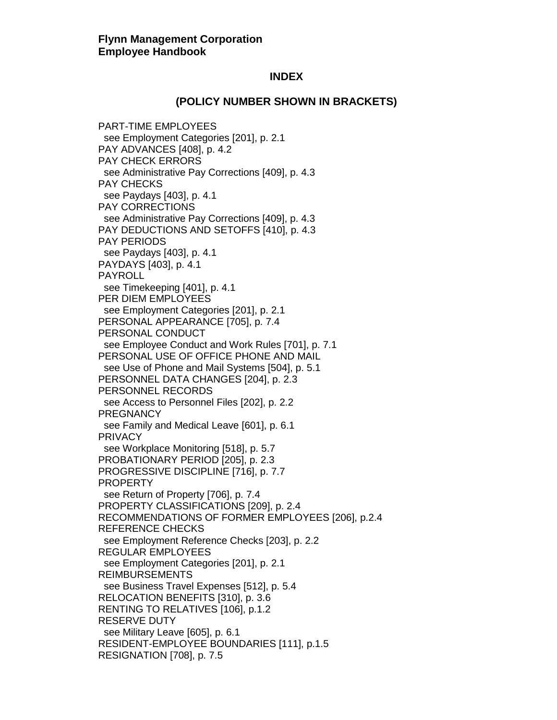#### **(POLICY NUMBER SHOWN IN BRACKETS)**

PART-TIME EMPLOYEES see Employment Categories [201], p. 2.1 PAY ADVANCES [408], p. 4.2 PAY CHECK ERRORS see Administrative Pay Corrections [409], p. 4.3 PAY CHECKS see Paydays [403], p. 4.1 PAY CORRECTIONS see Administrative Pay Corrections [409], p. 4.3 PAY DEDUCTIONS AND SETOFFS [410], p. 4.3 PAY PERIODS see Paydays [403], p. 4.1 PAYDAYS [403], p. 4.1 PAYROLL see Timekeeping [401], p. 4.1 PER DIEM EMPLOYEES see Employment Categories [201], p. 2.1 PERSONAL APPEARANCE [705], p. 7.4 PERSONAL CONDUCT see Employee Conduct and Work Rules [701], p. 7.1 PERSONAL USE OF OFFICE PHONE AND MAIL see Use of Phone and Mail Systems [504], p. 5.1 PERSONNEL DATA CHANGES [204], p. 2.3 PERSONNEL RECORDS see Access to Personnel Files [202], p. 2.2 **PREGNANCY**  see Family and Medical Leave [601], p. 6.1 PRIVACY see Workplace Monitoring [518], p. 5.7 PROBATIONARY PERIOD [205], p. 2.3 PROGRESSIVE DISCIPLINE [716], p. 7.7 PROPERTY see Return of Property [706], p. 7.4 PROPERTY CLASSIFICATIONS [209], p. 2.4 RECOMMENDATIONS OF FORMER EMPLOYEES [206], p.2.4 REFERENCE CHECKS see Employment Reference Checks [203], p. 2.2 REGULAR EMPLOYEES see Employment Categories [201], p. 2.1 REIMBURSEMENTS see Business Travel Expenses [512], p. 5.4 RELOCATION BENEFITS [310], p. 3.6 RENTING TO RELATIVES [106], p.1.2 RESERVE DUTY see Military Leave [605], p. 6.1 RESIDENT-EMPLOYEE BOUNDARIES [111], p.1.5 RESIGNATION [708], p. 7.5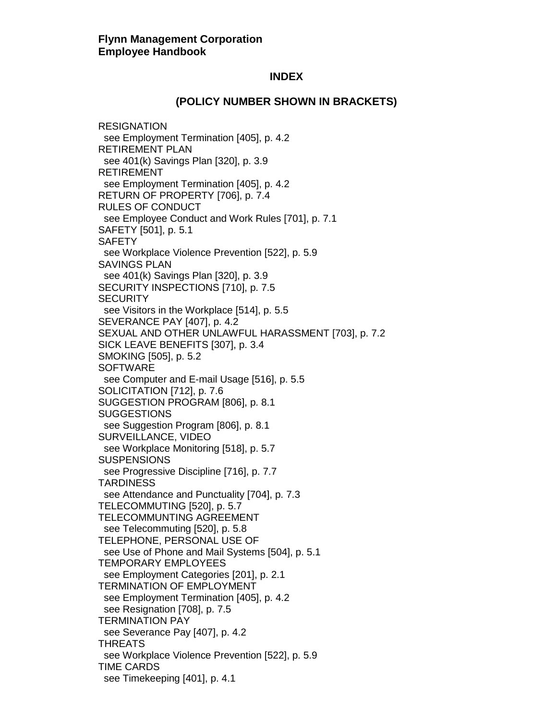#### **(POLICY NUMBER SHOWN IN BRACKETS)**

RESIGNATION see Employment Termination [405], p. 4.2 RETIREMENT PLAN see 401(k) Savings Plan [320], p. 3.9 RETIREMENT see Employment Termination [405], p. 4.2 RETURN OF PROPERTY [706], p. 7.4 RULES OF CONDUCT see Employee Conduct and Work Rules [701], p. 7.1 SAFETY [501], p. 5.1 **SAFETY**  see Workplace Violence Prevention [522], p. 5.9 SAVINGS PLAN see 401(k) Savings Plan [320], p. 3.9 SECURITY INSPECTIONS [710], p. 7.5 **SECURITY**  see Visitors in the Workplace [514], p. 5.5 SEVERANCE PAY [407], p. 4.2 SEXUAL AND OTHER UNLAWFUL HARASSMENT [703], p. 7.2 SICK LEAVE BENEFITS [307], p. 3.4 SMOKING [505], p. 5.2 **SOFTWARE**  see Computer and E-mail Usage [516], p. 5.5 SOLICITATION [712], p. 7.6 SUGGESTION PROGRAM [806], p. 8.1 **SUGGESTIONS**  see Suggestion Program [806], p. 8.1 SURVEILLANCE, VIDEO see Workplace Monitoring [518], p. 5.7 **SUSPENSIONS**  see Progressive Discipline [716], p. 7.7 **TARDINESS**  see Attendance and Punctuality [704], p. 7.3 TELECOMMUTING [520], p. 5.7 TELECOMMUNTING AGREEMENT see Telecommuting [520], p. 5.8 TELEPHONE, PERSONAL USE OF see Use of Phone and Mail Systems [504], p. 5.1 TEMPORARY EMPLOYEES see Employment Categories [201], p. 2.1 TERMINATION OF EMPLOYMENT see Employment Termination [405], p. 4.2 see Resignation [708], p. 7.5 TERMINATION PAY see Severance Pay [407], p. 4.2 THREATS see Workplace Violence Prevention [522], p. 5.9 TIME CARDS see Timekeeping [401], p. 4.1